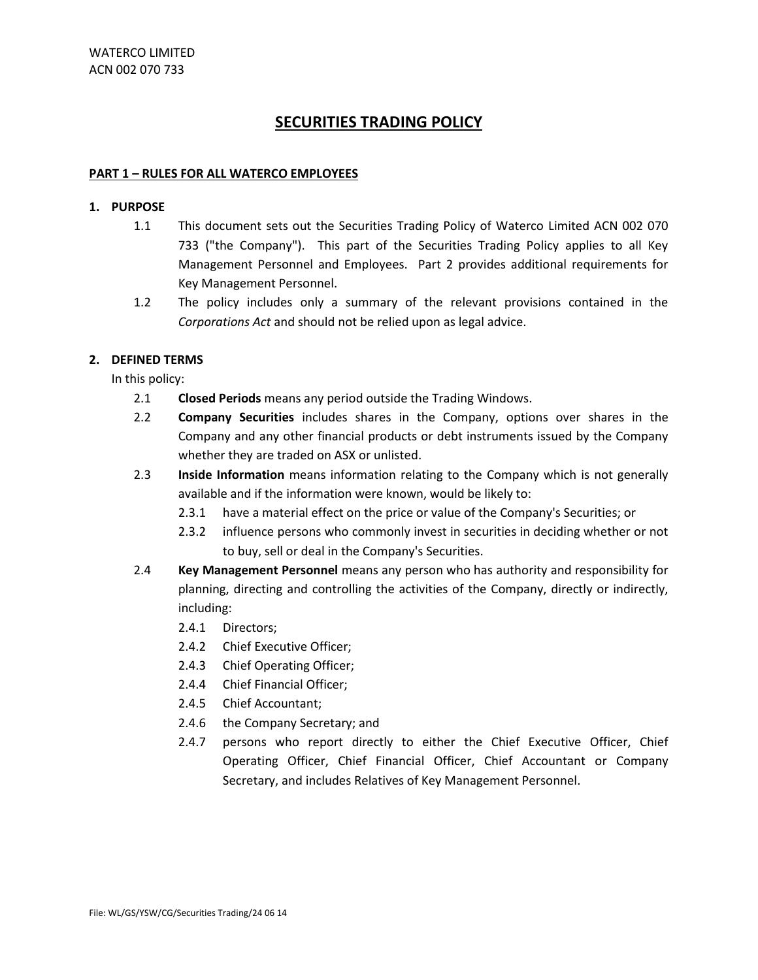#### **PART 1 – RULES FOR ALL WATERCO EMPLOYEES**

#### **1. PURPOSE**

- 1.1 This document sets out the Securities Trading Policy of Waterco Limited ACN 002 070 733 ("the Company"). This part of the Securities Trading Policy applies to all Key Management Personnel and Employees. Part 2 provides additional requirements for Key Management Personnel.
- 1.2 The policy includes only a summary of the relevant provisions contained in the *Corporations Act* and should not be relied upon as legal advice.

#### **2. DEFINED TERMS**

In this policy:

- 2.1 **Closed Periods** means any period outside the Trading Windows.
- 2.2 **Company Securities** includes shares in the Company, options over shares in the Company and any other financial products or debt instruments issued by the Company whether they are traded on ASX or unlisted.
- 2.3 **Inside Information** means information relating to the Company which is not generally available and if the information were known, would be likely to:
	- 2.3.1 have a material effect on the price or value of the Company's Securities; or
	- 2.3.2 influence persons who commonly invest in securities in deciding whether or not to buy, sell or deal in the Company's Securities.
- 2.4 **Key Management Personnel** means any person who has authority and responsibility for planning, directing and controlling the activities of the Company, directly or indirectly, including:
	- 2.4.1 Directors;
	- 2.4.2 Chief Executive Officer;
	- 2.4.3 Chief Operating Officer;
	- 2.4.4 Chief Financial Officer;
	- 2.4.5 Chief Accountant;
	- 2.4.6 the Company Secretary; and
	- 2.4.7 persons who report directly to either the Chief Executive Officer, Chief Operating Officer, Chief Financial Officer, Chief Accountant or Company Secretary, and includes Relatives of Key Management Personnel.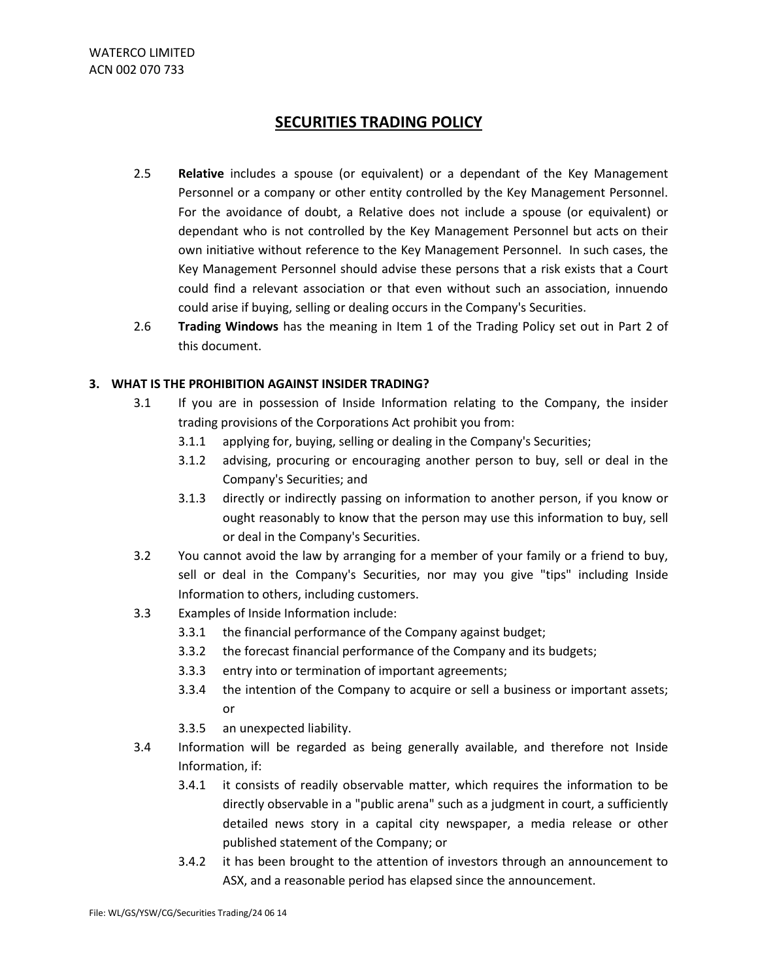- 2.5 **Relative** includes a spouse (or equivalent) or a dependant of the Key Management Personnel or a company or other entity controlled by the Key Management Personnel. For the avoidance of doubt, a Relative does not include a spouse (or equivalent) or dependant who is not controlled by the Key Management Personnel but acts on their own initiative without reference to the Key Management Personnel. In such cases, the Key Management Personnel should advise these persons that a risk exists that a Court could find a relevant association or that even without such an association, innuendo could arise if buying, selling or dealing occurs in the Company's Securities.
- 2.6 **Trading Windows** has the meaning in Item 1 of the Trading Policy set out in Part 2 of this document.

#### **3. WHAT IS THE PROHIBITION AGAINST INSIDER TRADING?**

- 3.1 If you are in possession of Inside Information relating to the Company, the insider trading provisions of the Corporations Act prohibit you from:
	- 3.1.1 applying for, buying, selling or dealing in the Company's Securities;
	- 3.1.2 advising, procuring or encouraging another person to buy, sell or deal in the Company's Securities; and
	- 3.1.3 directly or indirectly passing on information to another person, if you know or ought reasonably to know that the person may use this information to buy, sell or deal in the Company's Securities.
- 3.2 You cannot avoid the law by arranging for a member of your family or a friend to buy, sell or deal in the Company's Securities, nor may you give "tips" including Inside Information to others, including customers.
- 3.3 Examples of Inside Information include:
	- 3.3.1 the financial performance of the Company against budget;
	- 3.3.2 the forecast financial performance of the Company and its budgets;
	- 3.3.3 entry into or termination of important agreements;
	- 3.3.4 the intention of the Company to acquire or sell a business or important assets; or
	- 3.3.5 an unexpected liability.
- 3.4 Information will be regarded as being generally available, and therefore not Inside Information, if:
	- 3.4.1 it consists of readily observable matter, which requires the information to be directly observable in a "public arena" such as a judgment in court, a sufficiently detailed news story in a capital city newspaper, a media release or other published statement of the Company; or
	- 3.4.2 it has been brought to the attention of investors through an announcement to ASX, and a reasonable period has elapsed since the announcement.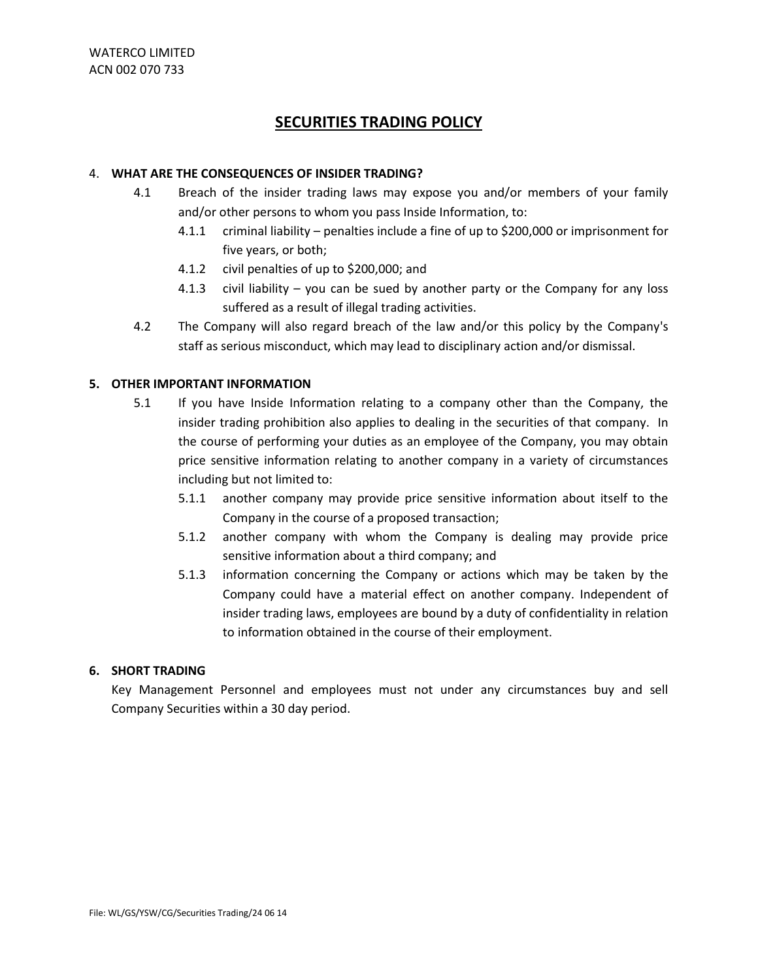#### 4. **WHAT ARE THE CONSEQUENCES OF INSIDER TRADING?**

- 4.1 Breach of the insider trading laws may expose you and/or members of your family and/or other persons to whom you pass Inside Information, to:
	- 4.1.1 criminal liability penalties include a fine of up to \$200,000 or imprisonment for five years, or both;
	- 4.1.2 civil penalties of up to \$200,000; and
	- 4.1.3 civil liability you can be sued by another party or the Company for any loss suffered as a result of illegal trading activities.
- 4.2 The Company will also regard breach of the law and/or this policy by the Company's staff as serious misconduct, which may lead to disciplinary action and/or dismissal.

#### **5. OTHER IMPORTANT INFORMATION**

- 5.1 If you have Inside Information relating to a company other than the Company, the insider trading prohibition also applies to dealing in the securities of that company. In the course of performing your duties as an employee of the Company, you may obtain price sensitive information relating to another company in a variety of circumstances including but not limited to:
	- 5.1.1 another company may provide price sensitive information about itself to the Company in the course of a proposed transaction;
	- 5.1.2 another company with whom the Company is dealing may provide price sensitive information about a third company; and
	- 5.1.3 information concerning the Company or actions which may be taken by the Company could have a material effect on another company. Independent of insider trading laws, employees are bound by a duty of confidentiality in relation to information obtained in the course of their employment.

#### **6. SHORT TRADING**

Key Management Personnel and employees must not under any circumstances buy and sell Company Securities within a 30 day period.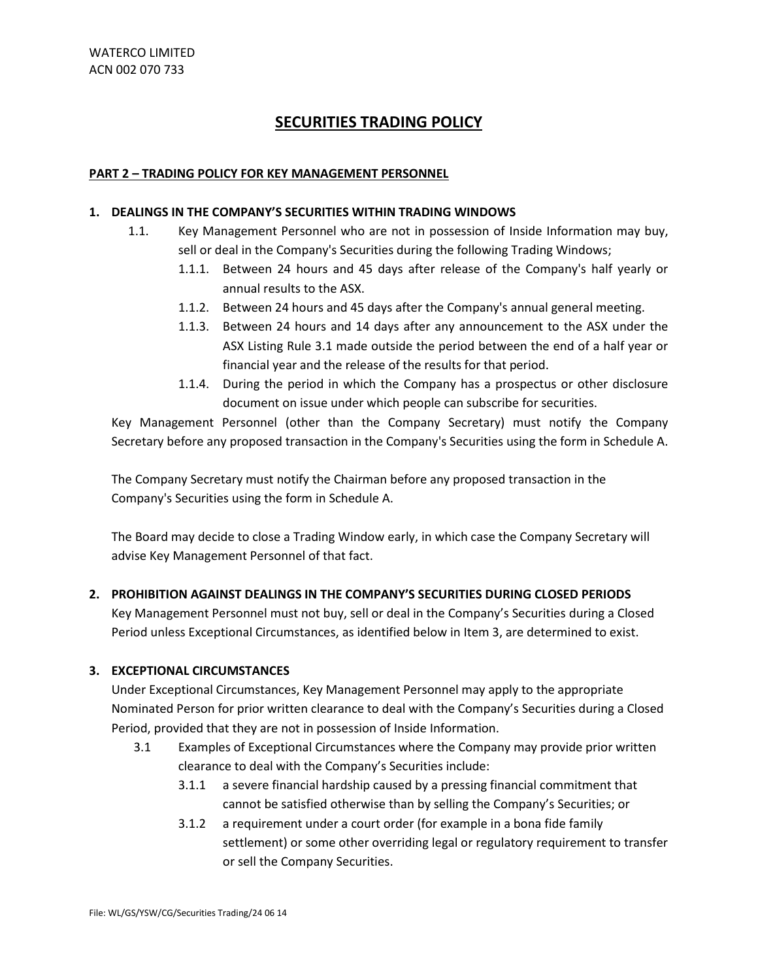#### **PART 2 – TRADING POLICY FOR KEY MANAGEMENT PERSONNEL**

#### **1. DEALINGS IN THE COMPANY'S SECURITIES WITHIN TRADING WINDOWS**

- 1.1. Key Management Personnel who are not in possession of Inside Information may buy, sell or deal in the Company's Securities during the following Trading Windows;
	- 1.1.1. Between 24 hours and 45 days after release of the Company's half yearly or annual results to the ASX.
	- 1.1.2. Between 24 hours and 45 days after the Company's annual general meeting.
	- 1.1.3. Between 24 hours and 14 days after any announcement to the ASX under the ASX Listing Rule 3.1 made outside the period between the end of a half year or financial year and the release of the results for that period.
	- 1.1.4. During the period in which the Company has a prospectus or other disclosure document on issue under which people can subscribe for securities.

Key Management Personnel (other than the Company Secretary) must notify the Company Secretary before any proposed transaction in the Company's Securities using the form in Schedule A.

The Company Secretary must notify the Chairman before any proposed transaction in the Company's Securities using the form in Schedule A.

The Board may decide to close a Trading Window early, in which case the Company Secretary will advise Key Management Personnel of that fact.

#### **2. PROHIBITION AGAINST DEALINGS IN THE COMPANY'S SECURITIES DURING CLOSED PERIODS**

Key Management Personnel must not buy, sell or deal in the Company's Securities during a Closed Period unless Exceptional Circumstances, as identified below in Item 3, are determined to exist.

#### **3. EXCEPTIONAL CIRCUMSTANCES**

Under Exceptional Circumstances, Key Management Personnel may apply to the appropriate Nominated Person for prior written clearance to deal with the Company's Securities during a Closed Period, provided that they are not in possession of Inside Information.

- 3.1 Examples of Exceptional Circumstances where the Company may provide prior written clearance to deal with the Company's Securities include:
	- 3.1.1 a severe financial hardship caused by a pressing financial commitment that cannot be satisfied otherwise than by selling the Company's Securities; or
	- 3.1.2 a requirement under a court order (for example in a bona fide family settlement) or some other overriding legal or regulatory requirement to transfer or sell the Company Securities.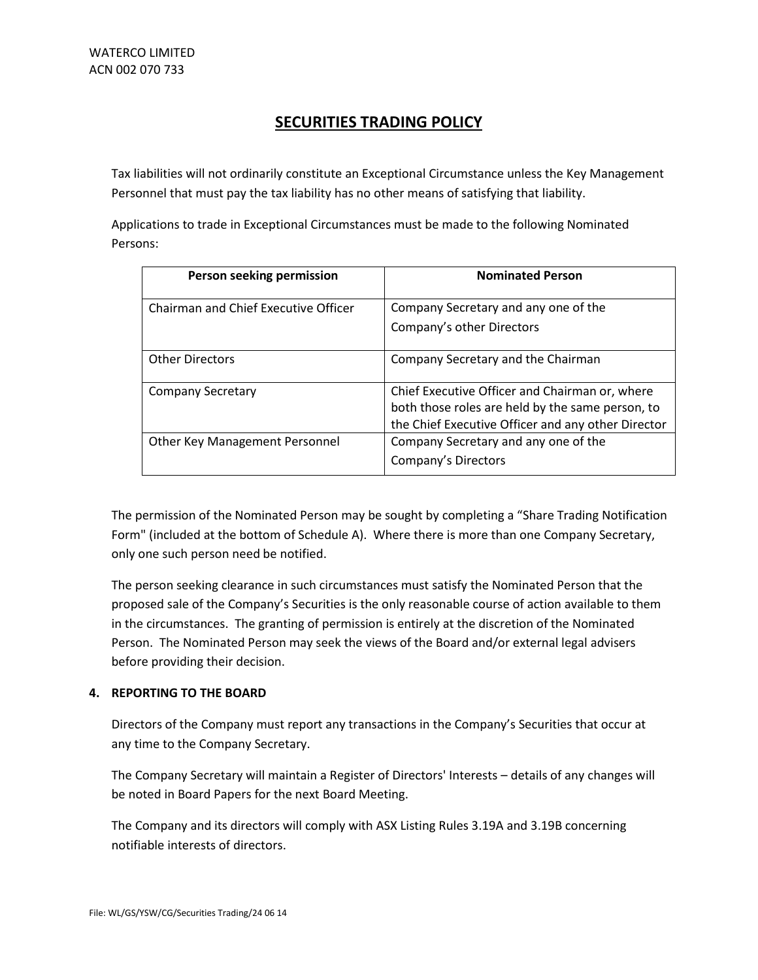Tax liabilities will not ordinarily constitute an Exceptional Circumstance unless the Key Management Personnel that must pay the tax liability has no other means of satisfying that liability.

Applications to trade in Exceptional Circumstances must be made to the following Nominated Persons:

| Person seeking permission            | <b>Nominated Person</b>                            |
|--------------------------------------|----------------------------------------------------|
| Chairman and Chief Executive Officer | Company Secretary and any one of the               |
|                                      | Company's other Directors                          |
| <b>Other Directors</b>               | Company Secretary and the Chairman                 |
| <b>Company Secretary</b>             | Chief Executive Officer and Chairman or, where     |
|                                      | both those roles are held by the same person, to   |
|                                      | the Chief Executive Officer and any other Director |
| Other Key Management Personnel       | Company Secretary and any one of the               |
|                                      | Company's Directors                                |

The permission of the Nominated Person may be sought by completing a "Share Trading Notification Form" (included at the bottom of Schedule A). Where there is more than one Company Secretary, only one such person need be notified.

The person seeking clearance in such circumstances must satisfy the Nominated Person that the proposed sale of the Company's Securities is the only reasonable course of action available to them in the circumstances. The granting of permission is entirely at the discretion of the Nominated Person. The Nominated Person may seek the views of the Board and/or external legal advisers before providing their decision.

#### **4. REPORTING TO THE BOARD**

Directors of the Company must report any transactions in the Company's Securities that occur at any time to the Company Secretary.

The Company Secretary will maintain a Register of Directors' Interests – details of any changes will be noted in Board Papers for the next Board Meeting.

The Company and its directors will comply with ASX Listing Rules 3.19A and 3.19B concerning notifiable interests of directors.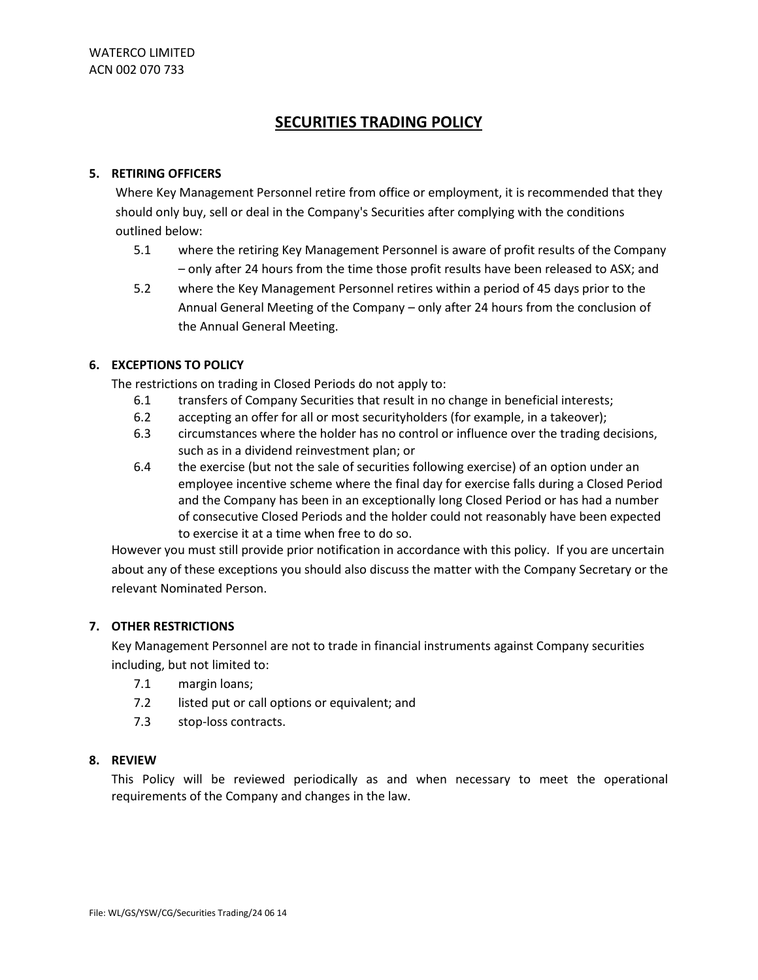#### **5. RETIRING OFFICERS**

Where Key Management Personnel retire from office or employment, it is recommended that they should only buy, sell or deal in the Company's Securities after complying with the conditions outlined below:

- 5.1 where the retiring Key Management Personnel is aware of profit results of the Company – only after 24 hours from the time those profit results have been released to ASX; and
- 5.2 where the Key Management Personnel retires within a period of 45 days prior to the Annual General Meeting of the Company – only after 24 hours from the conclusion of the Annual General Meeting.

### **6. EXCEPTIONS TO POLICY**

The restrictions on trading in Closed Periods do not apply to:

- 6.1 transfers of Company Securities that result in no change in beneficial interests;
- 6.2 accepting an offer for all or most securityholders (for example, in a takeover);
- 6.3 circumstances where the holder has no control or influence over the trading decisions, such as in a dividend reinvestment plan; or
- 6.4 the exercise (but not the sale of securities following exercise) of an option under an employee incentive scheme where the final day for exercise falls during a Closed Period and the Company has been in an exceptionally long Closed Period or has had a number of consecutive Closed Periods and the holder could not reasonably have been expected to exercise it at a time when free to do so.

However you must still provide prior notification in accordance with this policy. If you are uncertain about any of these exceptions you should also discuss the matter with the Company Secretary or the relevant Nominated Person.

#### **7. OTHER RESTRICTIONS**

Key Management Personnel are not to trade in financial instruments against Company securities including, but not limited to:

- 7.1 margin loans;
- 7.2 listed put or call options or equivalent; and
- 7.3 stop-loss contracts.

#### **8. REVIEW**

This Policy will be reviewed periodically as and when necessary to meet the operational requirements of the Company and changes in the law.